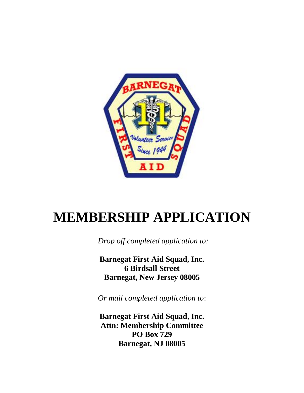

# **MEMBERSHIP APPLICATION**

*Drop off completed application to:*

**Barnegat First Aid Squad, Inc. 6 Birdsall Street Barnegat, New Jersey 08005**

*Or mail completed application to*:

**Barnegat First Aid Squad, Inc. Attn: Membership Committee PO Box 729 Barnegat, NJ 08005**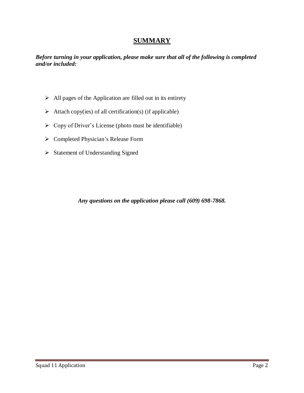## **SUMMARY**

*Before turning in your application, please make sure that all of the following is completed and/or included:* 

- $\triangleright$  All pages of the Application are filled out in its entirety
- $\triangleright$  Attach copy(ies) of all certification(s) (if applicable)
- $\triangleright$  Copy of Driver's License (photo must be identifiable)
- Completed Physician's Release Form
- Statement of Understanding Signed

*Any questions on the application please call (609) 698-7868.*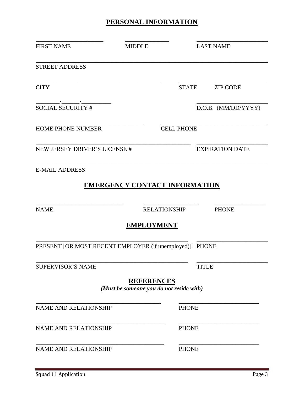# **PERSONAL INFORMATION**

| <b>FIRST NAME</b>                                       | <b>MIDDLE</b>                                                 |                   | <b>LAST NAME</b>       |
|---------------------------------------------------------|---------------------------------------------------------------|-------------------|------------------------|
| <b>STREET ADDRESS</b>                                   |                                                               |                   |                        |
| <b>CITY</b>                                             |                                                               | <b>STATE</b>      | <b>ZIP CODE</b>        |
| <b>SOCIAL SECURITY #</b>                                |                                                               |                   | D.O.B. (MM/DD/YYYY)    |
| <b>HOME PHONE NUMBER</b>                                |                                                               | <b>CELL PHONE</b> |                        |
| <b>NEW JERSEY DRIVER'S LICENSE #</b>                    |                                                               |                   | <b>EXPIRATION DATE</b> |
| <b>E-MAIL ADDRESS</b>                                   |                                                               |                   |                        |
|                                                         | <b>EMERGENCY CONTACT INFORMATION</b>                          |                   |                        |
| <b>NAME</b>                                             | <b>RELATIONSHIP</b>                                           |                   | <b>PHONE</b>           |
|                                                         | <b>EMPLOYMENT</b>                                             |                   |                        |
| PRESENT [OR MOST RECENT EMPLOYER (if unemployed)] PHONE |                                                               |                   |                        |
| <b>SUPERVISOR'S NAME</b>                                |                                                               | <b>TITLE</b>      |                        |
|                                                         | <b>REFERENCES</b><br>(Must be someone you do not reside with) |                   |                        |
| <b>NAME AND RELATIONSHIP</b>                            |                                                               | <b>PHONE</b>      |                        |
| <b>NAME AND RELATIONSHIP</b>                            |                                                               | <b>PHONE</b>      |                        |
| <b>NAME AND RELATIONSHIP</b>                            |                                                               | <b>PHONE</b>      |                        |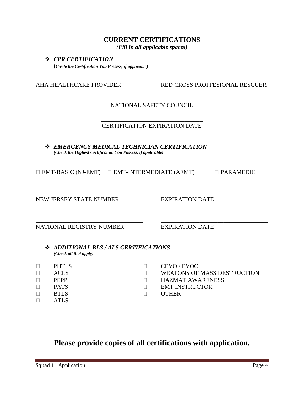## **CURRENT CERTIFICATIONS**

*(Fill in all applicable spaces)*

#### *CPR CERTIFICATION* **(***Circle the Certification You Possess, if applicable)*

AHA HEALTHCARE PROVIDER RED CROSS PROFFESIONAL RESCUER

NATIONAL SAFETY COUNCIL

#### \_\_\_\_\_\_\_\_\_\_\_\_\_\_\_\_\_\_\_\_\_\_\_\_\_\_\_\_\_\_\_\_\_\_ CERTIFICATION EXPIRATION DATE

 *EMERGENCY MEDICAL TECHNICIAN CERTIFICATION (Check the Highest Certification You Possess, if applicable)*

| $\Box$ EMT-BASIC (NJ-EMT) | $\Box$ EMT-INTERMEDIATE (AEMT) | $\Box$ PARAMEDIC |
|---------------------------|--------------------------------|------------------|
|---------------------------|--------------------------------|------------------|

\_\_\_\_\_\_\_\_\_\_\_\_\_\_\_\_\_\_\_\_\_\_\_\_\_\_\_\_\_\_\_\_\_\_\_\_ \_\_\_\_\_\_\_\_\_\_\_\_\_\_\_\_\_\_\_\_\_\_\_\_\_\_\_\_\_\_\_\_\_\_\_\_

NEW JERSEY STATE NUMBER EXPIRATION DATE

\_\_\_\_\_\_\_\_\_\_\_\_\_\_\_\_\_\_\_\_\_\_\_\_\_\_\_\_\_\_\_\_\_\_\_\_ \_\_\_\_\_\_\_\_\_\_\_\_\_\_\_\_\_\_\_\_\_\_\_\_\_\_\_\_\_\_\_\_\_\_\_\_ NATIONAL REGISTRY NUMBER EXPIRATION DATE

 *ADDITIONAL BLS / ALS CERTIFICATIONS (Check all that apply)*

| PHTLS       | CEVO/EVOC                   |
|-------------|-----------------------------|
| ACL S       | WEAPONS OF MASS DESTRUCTION |
| <b>PEPP</b> | <b>HAZMAT AWARENESS</b>     |
| <b>PATS</b> | <b>EMT INSTRUCTOR</b>       |
| <b>RTLS</b> | <b>OTHER</b>                |
| ATL S       |                             |

# **Please provide copies of all certifications with application.**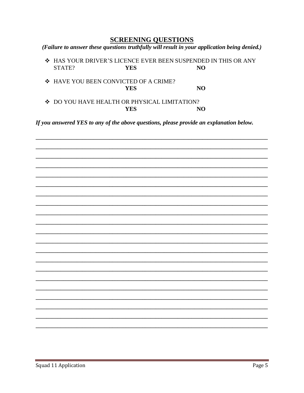### **SCREENING QUESTIONS**

(Failure to answer these questions truthfully will result in your application being denied.)

❖ HAS YOUR DRIVER'S LICENCE EVER BEEN SUSPENDED IN THIS OR ANY STATE? **YES** N<sub>O</sub>

❖ HAVE YOU BEEN CONVICTED OF A CRIME? NO **YES** 

❖ DO YOU HAVE HEALTH OR PHYSICAL LIMITATION? **YES** NO

If you answered YES to any of the above questions, please provide an explanation below.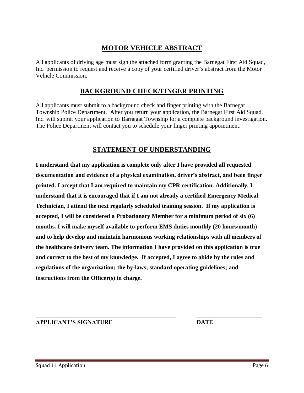# **MOTOR VEHICLE ABSTRACT**

All applicants of driving age must sign the attached form granting the Barnegat First Aid Squad, Inc. permission to request and receive a copy of your certified driver's abstract from the Motor Vehicle Commission.

# **BACKGROUND CHECK/FINGER PRINTING**

All applicants must submit to a background check and finger printing with the Barnegat Township Police Department. After you return your application, the Barnegat First Aid Squad, Inc. will submit your application to Barnegat Township for a complete background investigation. The Police Department will contact you to schedule your finger printing appointment.

## **STATEMENT OF UNDERSTANDING**

**I understand that my application is complete only after I have provided all requested documentation and evidence of a physical examination, driver's abstract, and been finger printed. I accept that I am required to maintain my CPR certification. Additionally, I understand that it is encouraged that if I am not already a certified Emergency Medical Technician, I attend the next regularly scheduled training session. If my application is accepted, I will be considered a Probationary Member for a minimum period of six (6) months. I will make myself available to perform EMS duties monthly (20 hours/month) and to help develop and maintain harmonious working relationships with all members of the healthcare delivery team. The information I have provided on this application is true and correct to the best of my knowledge. If accepted, I agree to abide by the rules and regulations of the organization; the by-laws; standard operating guidelines; and instructions from the Officer(s) in charge.** 

**\_\_\_\_\_\_\_\_\_\_\_\_\_\_\_\_\_\_\_\_\_\_\_\_\_\_\_\_\_\_\_\_\_\_\_\_\_\_\_\_\_\_\_\_\_\_\_ \_\_\_\_\_\_\_\_\_\_\_\_\_\_\_\_\_\_\_\_\_\_ APPLICANT'S SIGNATURE DATE**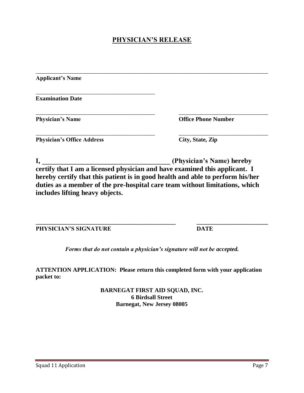# **PHYSICIAN'S RELEASE**

| <b>Applicant's Name</b>           |                                                                                |
|-----------------------------------|--------------------------------------------------------------------------------|
| <b>Examination Date</b>           |                                                                                |
| <b>Physician's Name</b>           | <b>Office Phone Number</b>                                                     |
| <b>Physician's Office Address</b> | City, State, Zip                                                               |
|                                   | (Physician's Name) hereby                                                      |
|                                   | certify that I am a licensed physician and have examined this applicant. I     |
|                                   | hereby certify that this patient is in good health and able to perform his/her |
|                                   | duties as a member of the pre-hospital care team without limitations, which    |
| includes lifting heavy objects.   |                                                                                |

**PHYSICIAN'S SIGNATURE DATE** 

**\_\_\_\_\_\_\_\_\_\_\_\_\_\_\_\_\_\_\_\_\_\_\_\_\_\_\_\_\_\_\_\_\_\_\_\_\_\_\_\_\_\_\_\_\_\_\_ \_\_\_\_\_\_\_\_\_\_\_\_\_\_\_\_\_\_\_\_\_\_\_\_** 

*Forms that do not contain a physician's signature will not be accepted.*

**ATTENTION APPLICATION: Please return this completed form with your application packet to:**

> **BARNEGAT FIRST AID SQUAD, INC. 6 Birdsall Street Barnegat, New Jersey 08005**